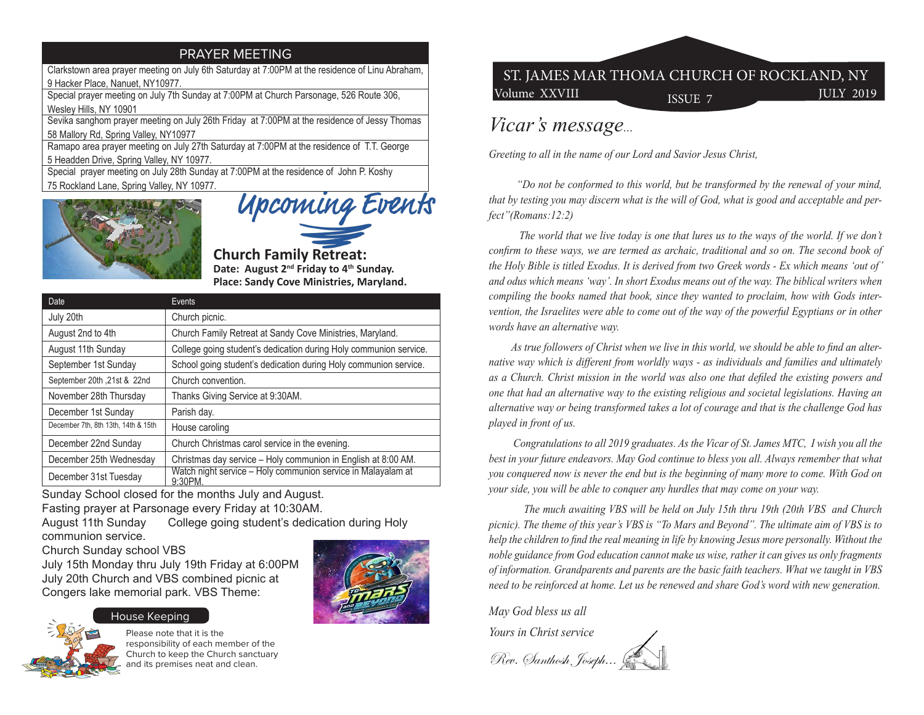## PRAYER MEETING

Clarkstown area prayer meeting on July 6th Saturday at 7:00PM at the residence of Linu Abraham, 9 Hacker Place, Nanuet, NY10977.

Special prayer meeting on July 7th Sunday at 7:00PM at Church Parsonage, 526 Route 306, Wesley Hills, NY 10901

Sevika sanghom prayer meeting on July 26th Friday at 7:00PM at the residence of Jessy Thomas 58 Mallory Rd, Spring Valley, NY10977

Ramapo area prayer meeting on July 27th Saturday at 7:00PM at the residence of T.T. George 5 Headden Drive, Spring Valley, NY 10977.

Special prayer meeting on July 28th Sunday at 7:00PM at the residence of John P. Koshy 75 Rockland Lane, Spring Valley, NY 10977.



Upcoming Events

**Church Family Retreat: Date: August 2nd Friday to 4th Sunday. Place: Sandy Cove Ministries, Maryland.**

| Date                                | Events                                                                 |
|-------------------------------------|------------------------------------------------------------------------|
| July 20th                           | Church picnic.                                                         |
| August 2nd to 4th                   | Church Family Retreat at Sandy Cove Ministries, Maryland.              |
| August 11th Sunday                  | College going student's dedication during Holy communion service.      |
| September 1st Sunday                | School going student's dedication during Holy communion service.       |
| September 20th , 21st & 22nd        | Church convention.                                                     |
| November 28th Thursday              | Thanks Giving Service at 9:30AM.                                       |
| December 1st Sunday                 | Parish day.                                                            |
| December 7th, 8th 13th, 14th & 15th | House caroling                                                         |
| December 22nd Sunday                | Church Christmas carol service in the evening.                         |
| December 25th Wednesday             | Christmas day service - Holy communion in English at 8:00 AM.          |
| December 31st Tuesday               | Watch night service - Holy communion service in Malayalam at<br>9:30PM |

Sunday School closed for the months July and August. Fasting prayer at Parsonage every Friday at 10:30AM. August 11th Sunday College going student's dedication during Holy

communion service.

Church Sunday school VBS

July 15th Monday thru July 19th Friday at 6:00PM July 20th Church and VBS combined picnic at Congers lake memorial park. VBS Theme:



## House Keeping



Please note that it is the responsibility of each member of the Church to keep the Church sanctuary and its premises neat and clean.

## Volume XXVIII ISSUE 7 JULY 2019 ST. JAMES MAR THOMA CHURCH OF ROCKLAND, NY

## *Vicar's message...*

*Greeting to all in the name of our Lord and Savior Jesus Christ,*

 *"Do not be conformed to this world, but be transformed by the renewal of your mind, that by testing you may discern what is the will of God, what is good and acceptable and perfect"(Romans:12:2)* 

 *The world that we live today is one that lures us to the ways of the world. If we don't confirm to these ways, we are termed as archaic, traditional and so on. The second book of the Holy Bible is titled Exodus. It is derived from two Greek words - Ex which means 'out of' and odus which means 'way'. In short Exodus means out of the way. The biblical writers when compiling the books named that book, since they wanted to proclaim, how with Gods intervention, the Israelites were able to come out of the way of the powerful Egyptians or in other words have an alternative way.*

 *As true followers of Christ when we live in this world, we should be able to find an alternative way which is different from worldly ways - as individuals and families and ultimately as a Church. Christ mission in the world was also one that defiled the existing powers and one that had an alternative way to the existing religious and societal legislations. Having an alternative way or being transformed takes a lot of courage and that is the challenge God has played in front of us.* 

 *Congratulations to all 2019 graduates. As the Vicar of St. James MTC, I wish you all the best in your future endeavors. May God continue to bless you all. Always remember that what you conquered now is never the end but is the beginning of many more to come. With God on your side, you will be able to conquer any hurdles that may come on your way.* 

 *The much awaiting VBS will be held on July 15th thru 19th (20th VBS and Church picnic). The theme of this year's VBS is "To Mars and Beyond". The ultimate aim of VBS is to help the children to find the real meaning in life by knowing Jesus more personally. Without the noble guidance from God education cannot make us wise, rather it can gives us only fragments of information. Grandparents and parents are the basic faith teachers. What we taught in VBS need to be reinforced at home. Let us be renewed and share God's word with new generation.* 

*May God bless us all*

*Yours in Christ service*

Rev. Santhosh, Joseph...